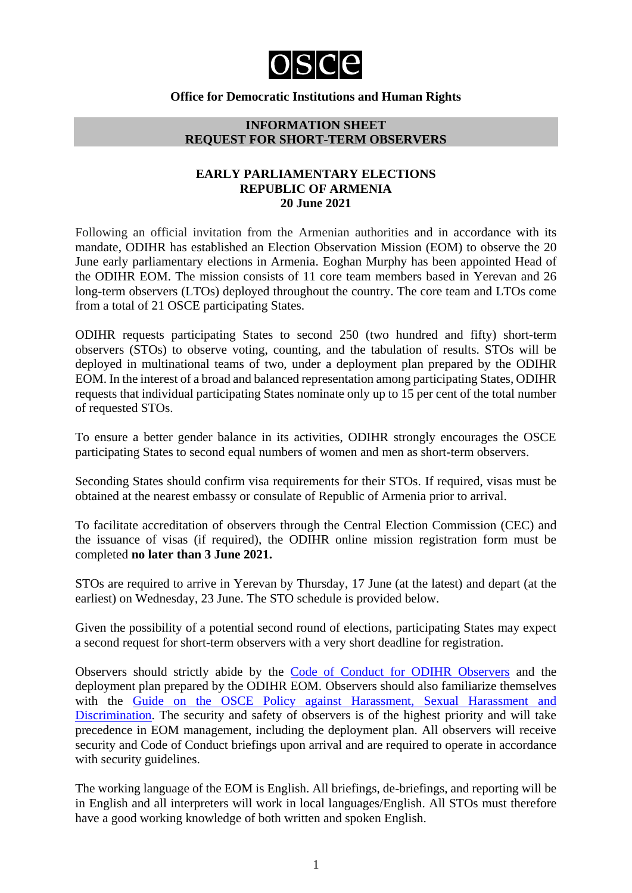

## **Office for Democratic Institutions and Human Rights**

### **INFORMATION SHEET REQUEST FOR SHORT-TERM OBSERVERS**

## **EARLY PARLIAMENTARY ELECTIONS REPUBLIC OF ARMENIA 20 June 2021**

Following an official invitation from the Armenian authorities and in accordance with its mandate, ODIHR has established an Election Observation Mission (EOM) to observe the 20 June early parliamentary elections in Armenia. Eoghan Murphy has been appointed Head of the ODIHR EOM. The mission consists of 11 core team members based in Yerevan and 26 long-term observers (LTOs) deployed throughout the country. The core team and LTOs come from a total of 21 OSCE participating States.

ODIHR requests participating States to second 250 (two hundred and fifty) short-term observers (STOs) to observe voting, counting, and the tabulation of results. STOs will be deployed in multinational teams of two, under a deployment plan prepared by the ODIHR EOM. In the interest of a broad and balanced representation among participating States, ODIHR requests that individual participating States nominate only up to 15 per cent of the total number of requested STOs.

To ensure a better gender balance in its activities, ODIHR strongly encourages the OSCE participating States to second equal numbers of women and men as short-term observers.

Seconding States should confirm visa requirements for their STOs. If required, visas must be obtained at the nearest embassy or consulate of Republic of Armenia prior to arrival.

To facilitate accreditation of observers through the Central Election Commission (CEC) and the issuance of visas (if required), the ODIHR online mission registration form must be completed **no later than 3 June 2021.**

STOs are required to arrive in Yerevan by Thursday, 17 June (at the latest) and depart (at the earliest) on Wednesday, 23 June. The STO schedule is provided below.

Given the possibility of a potential second round of elections, participating States may expect a second request for short-term observers with a very short deadline for registration.

Observers should strictly abide by the [Code of Conduct for ODIHR Observers](http://www.osce.org/odihr/elections/322891) and the deployment plan prepared by the ODIHR EOM. Observers should also familiarize themselves with the [Guide on the OSCE Policy against Harassment, Sexual Harassment and](http://www.osce.org/gender/30604)  [Discrimination.](http://www.osce.org/gender/30604) The security and safety of observers is of the highest priority and will take precedence in EOM management, including the deployment plan. All observers will receive security and Code of Conduct briefings upon arrival and are required to operate in accordance with security guidelines.

The working language of the EOM is English. All briefings, de-briefings, and reporting will be in English and all interpreters will work in local languages/English. All STOs must therefore have a good working knowledge of both written and spoken English.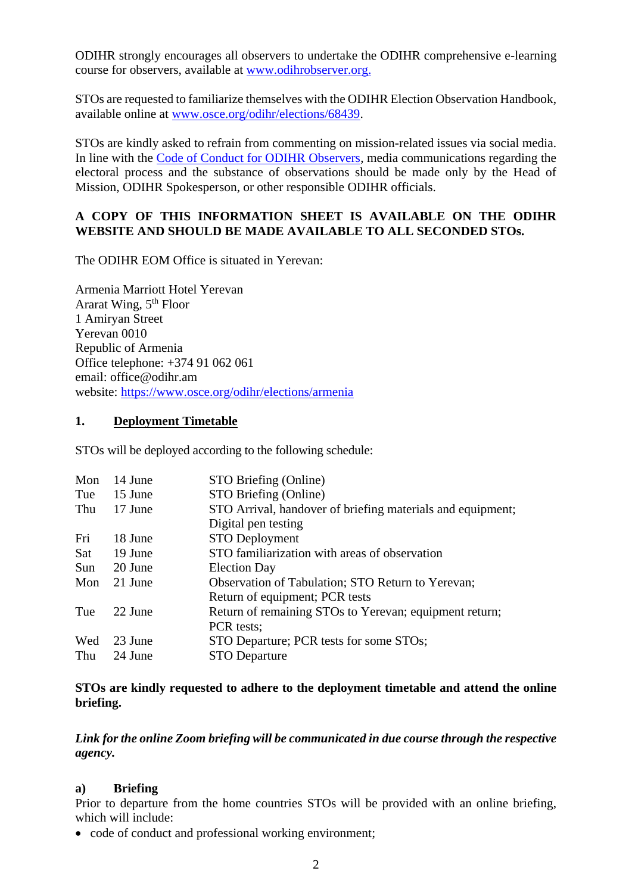ODIHR strongly encourages all observers to undertake the ODIHR comprehensive e-learning course for observers, available at [www.odihrobserver.org.](http://www.odihrobserver.org/)

STOs are requested to familiarize themselves with the ODIHR Election Observation Handbook, available online at [www.osce.org/odihr/elections/68439.](http://www.osce.org/odihr/elections/68439)

STOs are kindly asked to refrain from commenting on mission-related issues via social media. In line with the [Code of Conduct for ODIHR Observers,](http://www.osce.org/odihr/elections/322891) media communications regarding the electoral process and the substance of observations should be made only by the Head of Mission, ODIHR Spokesperson, or other responsible ODIHR officials.

## **A COPY OF THIS INFORMATION SHEET IS AVAILABLE ON THE ODIHR WEBSITE AND SHOULD BE MADE AVAILABLE TO ALL SECONDED STOs.**

The ODIHR EOM Office is situated in Yerevan:

Armenia Marriott Hotel Yerevan Ararat Wing,  $5<sup>th</sup>$  Floor 1 Amiryan Street Yerevan 0010 Republic of Armenia Office telephone: +374 91 062 061 email: office@odihr.am website:<https://www.osce.org/odihr/elections/armenia>

## **1. Deployment Timetable**

STOs will be deployed according to the following schedule:

| Mon | 14 June | STO Briefing (Online)                                      |
|-----|---------|------------------------------------------------------------|
| Tue | 15 June | STO Briefing (Online)                                      |
| Thu | 17 June | STO Arrival, handover of briefing materials and equipment; |
|     |         | Digital pen testing                                        |
| Fri | 18 June | <b>STO Deployment</b>                                      |
| Sat | 19 June | STO familiarization with areas of observation              |
| Sun | 20 June | <b>Election Day</b>                                        |
| Mon | 21 June | Observation of Tabulation; STO Return to Yerevan;          |
|     |         | Return of equipment; PCR tests                             |
| Tue | 22 June | Return of remaining STOs to Yerevan; equipment return;     |
|     |         | PCR tests;                                                 |
| Wed | 23 June | STO Departure; PCR tests for some STOs;                    |
| Thu | 24 June | <b>STO</b> Departure                                       |

## **STOs are kindly requested to adhere to the deployment timetable and attend the online briefing.**

*Link for the online Zoom briefing will be communicated in due course through the respective agency.* 

### **a) Briefing**

Prior to departure from the home countries STOs will be provided with an online briefing, which will include:

• code of conduct and professional working environment: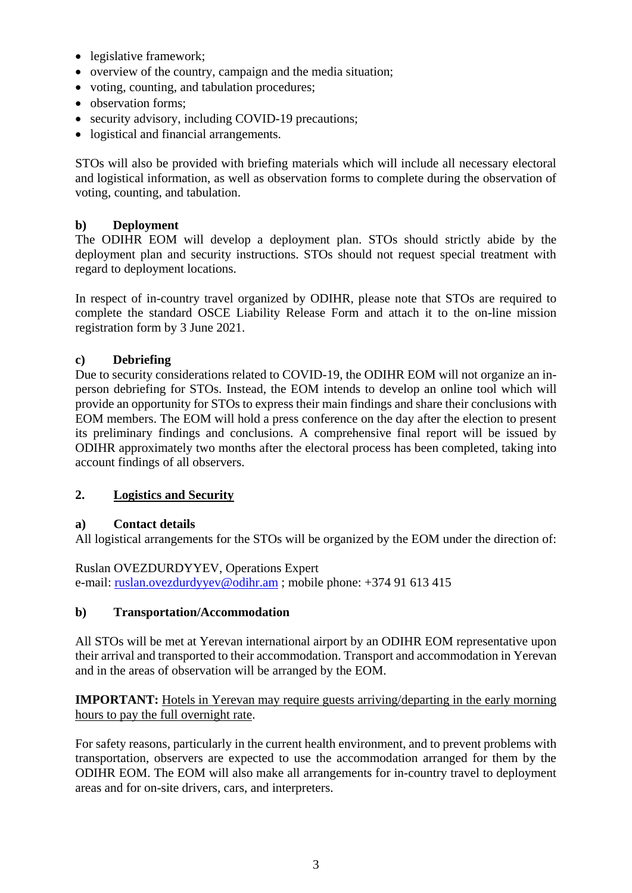- legislative framework;
- overview of the country, campaign and the media situation;
- voting, counting, and tabulation procedures;
- observation forms:
- security advisory, including COVID-19 precautions;
- logistical and financial arrangements.

STOs will also be provided with briefing materials which will include all necessary electoral and logistical information, as well as observation forms to complete during the observation of voting, counting, and tabulation.

## **b) Deployment**

The ODIHR EOM will develop a deployment plan. STOs should strictly abide by the deployment plan and security instructions. STOs should not request special treatment with regard to deployment locations.

In respect of in-country travel organized by ODIHR, please note that STOs are required to complete the standard OSCE Liability Release Form and attach it to the on-line mission registration form by 3 June 2021.

# **c) Debriefing**

Due to security considerations related to COVID-19, the ODIHR EOM will not organize an inperson debriefing for STOs. Instead, the EOM intends to develop an online tool which will provide an opportunity for STOs to express their main findings and share their conclusions with EOM members. The EOM will hold a press conference on the day after the election to present its preliminary findings and conclusions. A comprehensive final report will be issued by ODIHR approximately two months after the electoral process has been completed, taking into account findings of all observers.

## **2. Logistics and Security**

## **a) Contact details**

All logistical arrangements for the STOs will be organized by the EOM under the direction of:

Ruslan OVEZDURDYYEV, Operations Expert e-mail: [ruslan.ovezdurdyyev@odihr.am](mailto:ruslan.ovezdurdyyev@odihr.am) ; mobile phone: +374 91 613 415

## **b) Transportation/Accommodation**

All STOs will be met at Yerevan international airport by an ODIHR EOM representative upon their arrival and transported to their accommodation. Transport and accommodation in Yerevan and in the areas of observation will be arranged by the EOM.

**IMPORTANT:** Hotels in Yerevan may require guests arriving/departing in the early morning hours to pay the full overnight rate.

For safety reasons, particularly in the current health environment, and to prevent problems with transportation, observers are expected to use the accommodation arranged for them by the ODIHR EOM. The EOM will also make all arrangements for in-country travel to deployment areas and for on-site drivers, cars, and interpreters.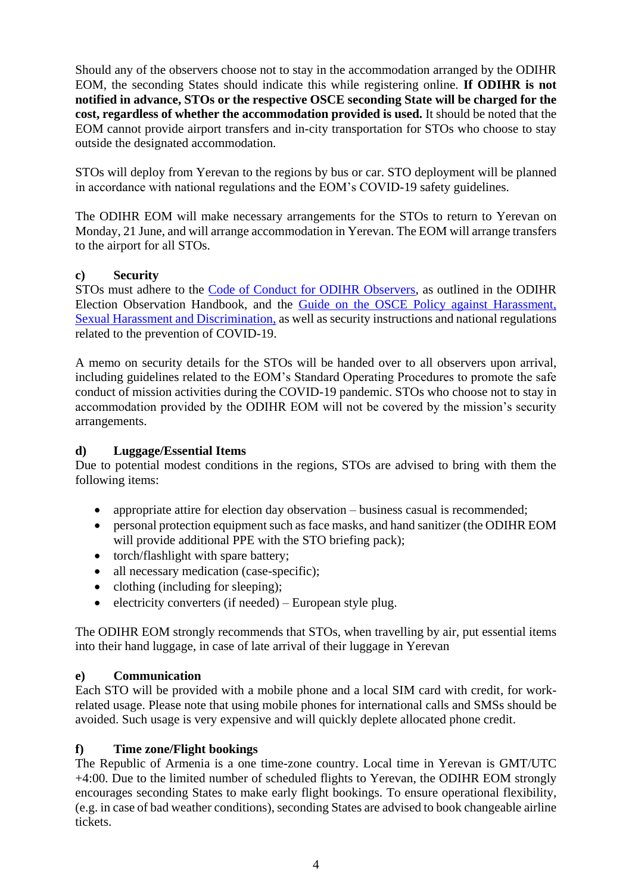Should any of the observers choose not to stay in the accommodation arranged by the ODIHR EOM, the seconding States should indicate this while registering online. **If ODIHR is not notified in advance, STOs or the respective OSCE seconding State will be charged for the cost, regardless of whether the accommodation provided is used.** It should be noted that the EOM cannot provide airport transfers and in-city transportation for STOs who choose to stay outside the designated accommodation.

STOs will deploy from Yerevan to the regions by bus or car. STO deployment will be planned in accordance with national regulations and the EOM's COVID-19 safety guidelines.

The ODIHR EOM will make necessary arrangements for the STOs to return to Yerevan on Monday, 21 June, and will arrange accommodation in Yerevan. The EOM will arrange transfers to the airport for all STOs.

## **c) Security**

STOs must adhere to the [Code of Conduct for ODIHR Observers,](http://www.osce.org/odihr/elections/322891) as outlined in the ODIHR Election Observation Handbook, and the [Guide on the OSCE Policy against Harassment,](http://www.osce.org/gender/30604)  [Sexual Harassment and Discrimination,](http://www.osce.org/gender/30604) as well as security instructions and national regulations related to the prevention of COVID-19.

A memo on security details for the STOs will be handed over to all observers upon arrival, including guidelines related to the EOM's Standard Operating Procedures to promote the safe conduct of mission activities during the COVID-19 pandemic. STOs who choose not to stay in accommodation provided by the ODIHR EOM will not be covered by the mission's security arrangements.

## **d) Luggage/Essential Items**

Due to potential modest conditions in the regions, STOs are advised to bring with them the following items:

- appropriate attire for election day observation business casual is recommended;
- personal protection equipment such as face masks, and hand sanitizer (the ODIHR EOM will provide additional PPE with the STO briefing pack);
- torch/flashlight with spare battery;
- all necessary medication (case-specific);
- clothing (including for sleeping):
- electricity converters (if needed) European style plug.

The ODIHR EOM strongly recommends that STOs, when travelling by air, put essential items into their hand luggage, in case of late arrival of their luggage in Yerevan

## **e) Communication**

Each STO will be provided with a mobile phone and a local SIM card with credit, for workrelated usage. Please note that using mobile phones for international calls and SMSs should be avoided. Such usage is very expensive and will quickly deplete allocated phone credit.

## **f) Time zone/Flight bookings**

The Republic of Armenia is a one time-zone country. Local time in Yerevan is GMT/UTC +4:00. Due to the limited number of scheduled flights to Yerevan, the ODIHR EOM strongly encourages seconding States to make early flight bookings. To ensure operational flexibility, (e.g. in case of bad weather conditions), seconding States are advised to book changeable airline tickets.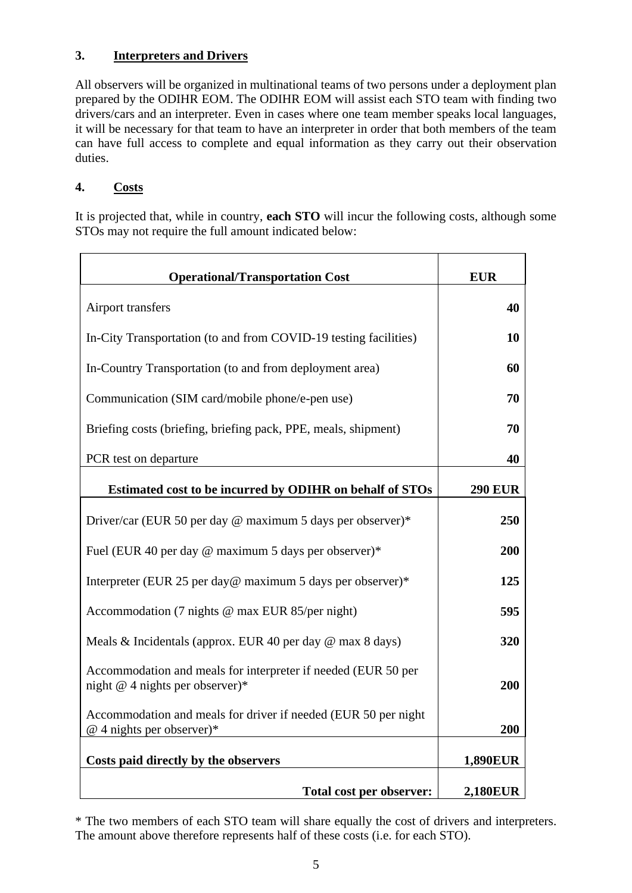# **3. Interpreters and Drivers**

All observers will be organized in multinational teams of two persons under a deployment plan prepared by the ODIHR EOM. The ODIHR EOM will assist each STO team with finding two drivers/cars and an interpreter. Even in cases where one team member speaks local languages, it will be necessary for that team to have an interpreter in order that both members of the team can have full access to complete and equal information as they carry out their observation duties.

# **4. Costs**

It is projected that, while in country, **each STO** will incur the following costs, although some STOs may not require the full amount indicated below:

| <b>Operational/Transportation Cost</b>                                                             | <b>EUR</b>      |
|----------------------------------------------------------------------------------------------------|-----------------|
| Airport transfers                                                                                  | 40              |
| In-City Transportation (to and from COVID-19 testing facilities)                                   | 10              |
| In-Country Transportation (to and from deployment area)                                            | 60              |
| Communication (SIM card/mobile phone/e-pen use)                                                    | 70              |
| Briefing costs (briefing, briefing pack, PPE, meals, shipment)                                     | 70              |
| PCR test on departure                                                                              | 40              |
| Estimated cost to be incurred by ODIHR on behalf of STOs                                           | <b>290 EUR</b>  |
| Driver/car (EUR 50 per day @ maximum 5 days per observer)*                                         | 250             |
| Fuel (EUR 40 per day @ maximum 5 days per observer)*                                               | 200             |
| Interpreter (EUR 25 per day@ maximum 5 days per observer)*                                         | 125             |
| Accommodation (7 nights @ max EUR 85/per night)                                                    | 595             |
| Meals & Incidentals (approx. EUR 40 per day $\omega$ max 8 days)                                   | 320             |
| Accommodation and meals for interpreter if needed (EUR 50 per<br>night $@$ 4 nights per observer)* | 200             |
| Accommodation and meals for driver if needed (EUR 50 per night<br>$@$ 4 nights per observer)*      | 200             |
| Costs paid directly by the observers                                                               | <b>1,890EUR</b> |
| Total cost per observer:                                                                           | <b>2,180EUR</b> |

\* The two members of each STO team will share equally the cost of drivers and interpreters. The amount above therefore represents half of these costs (i.e. for each STO).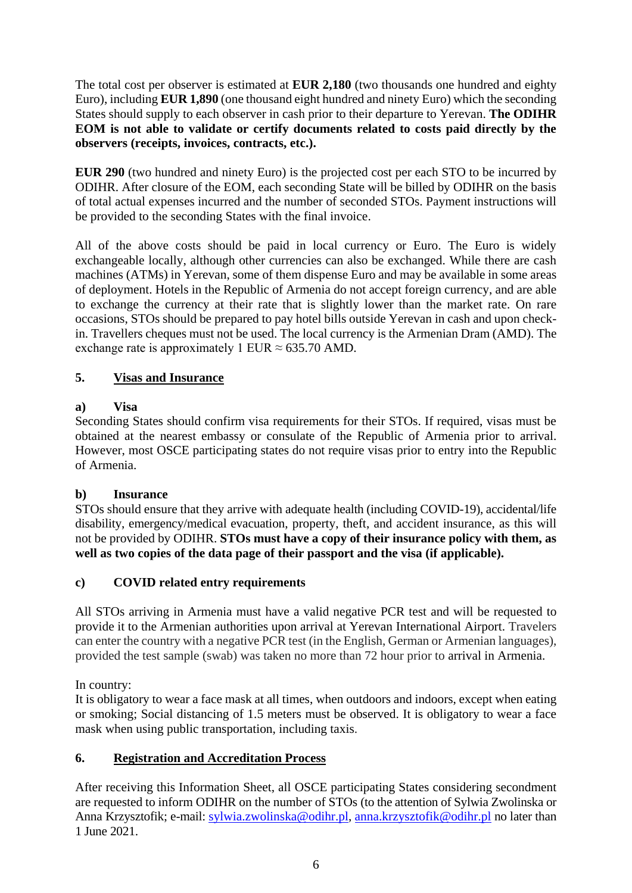The total cost per observer is estimated at **EUR 2,180** (two thousands one hundred and eighty Euro), including **EUR 1,890** (one thousand eight hundred and ninety Euro) which the seconding States should supply to each observer in cash prior to their departure to Yerevan. **The ODIHR EOM is not able to validate or certify documents related to costs paid directly by the observers (receipts, invoices, contracts, etc.).**

**EUR 290** (two hundred and ninety Euro) is the projected cost per each STO to be incurred by ODIHR. After closure of the EOM, each seconding State will be billed by ODIHR on the basis of total actual expenses incurred and the number of seconded STOs. Payment instructions will be provided to the seconding States with the final invoice.

All of the above costs should be paid in local currency or Euro. The Euro is widely exchangeable locally, although other currencies can also be exchanged. While there are cash machines (ATMs) in Yerevan, some of them dispense Euro and may be available in some areas of deployment. Hotels in the Republic of Armenia do not accept foreign currency, and are able to exchange the currency at their rate that is slightly lower than the market rate. On rare occasions, STOs should be prepared to pay hotel bills outside Yerevan in cash and upon checkin. Travellers cheques must not be used. The local currency is the Armenian Dram (AMD). The exchange rate is approximately 1 EUR  $\approx$  635.70 AMD.

# **5. Visas and Insurance**

# **a) Visa**

Seconding States should confirm visa requirements for their STOs. If required, visas must be obtained at the nearest embassy or consulate of the Republic of Armenia prior to arrival. However, most OSCE participating states do not require visas prior to entry into the Republic of Armenia.

# **b) Insurance**

STOs should ensure that they arrive with adequate health (including COVID-19), accidental/life disability, emergency/medical evacuation, property, theft, and accident insurance, as this will not be provided by ODIHR. **STOs must have a copy of their insurance policy with them, as well as two copies of the data page of their passport and the visa (if applicable).**

# **c) COVID related entry requirements**

All STOs arriving in Armenia must have a valid negative PCR test and will be requested to provide it to the Armenian authorities upon arrival at Yerevan International Airport. Travelers can enter the country with a negative PCR test (in the English, German or Armenian languages), provided the test sample (swab) was taken no more than 72 hour prior to arrival in Armenia.

In country:

It is obligatory to wear a face mask at all times, when outdoors and indoors, except when eating or smoking; Social distancing of 1.5 meters must be observed. It is obligatory to wear a face mask when using public transportation, including taxis.

# **6. Registration and Accreditation Process**

After receiving this Information Sheet, all OSCE participating States considering secondment are requested to inform ODIHR on the number of STOs (to the attention of Sylwia Zwolinska or Anna Krzysztofik; e-mail: [sylwia.zwolinska@odihr.pl,](mailto:sylwia.zwolinska@odihr.pl) [anna.krzysztofik@odihr.pl](mailto:anna.krzysztofik@odihr.pl) no later than 1 June 2021.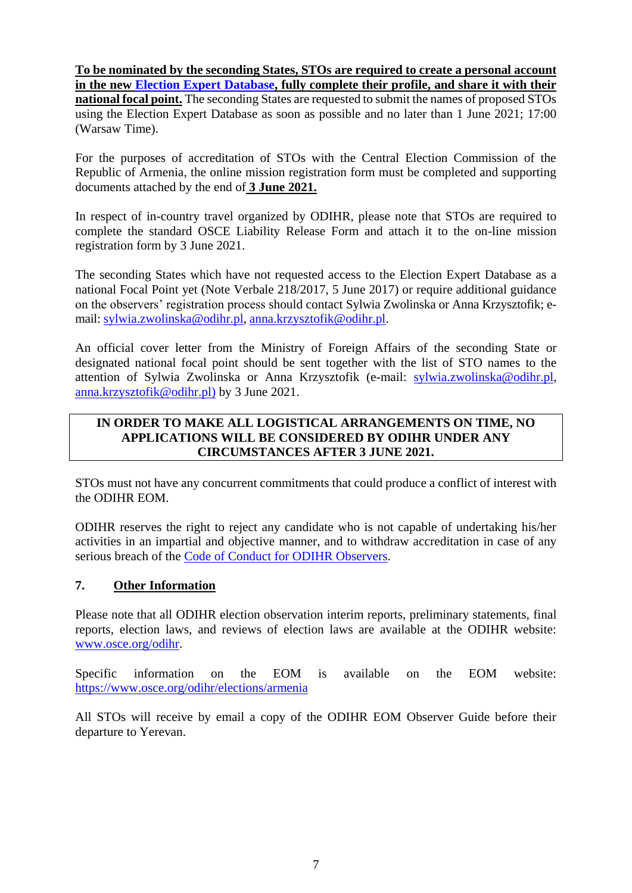**To be nominated by the seconding States, STOs are required to create a personal account in the new [Election Expert Database,](http://electionexpert.odihr.pl/) fully complete their profile, and share it with their national focal point.** The seconding States are requested to submit the names of proposed STOs using the Election Expert Database as soon as possible and no later than 1 June 2021; 17:00 (Warsaw Time).

For the purposes of accreditation of STOs with the Central Election Commission of the Republic of Armenia, the online mission registration form must be completed and supporting documents attached by the end of **3 June 2021.**

In respect of in-country travel organized by ODIHR, please note that STOs are required to complete the standard OSCE Liability Release Form and attach it to the on-line mission registration form by 3 June 2021.

The seconding States which have not requested access to the Election Expert Database as a national Focal Point yet (Note Verbale 218/2017, 5 June 2017) or require additional guidance on the observers' registration process should contact Sylwia Zwolinska or Anna Krzysztofik; email: [sylwia.zwolinska@odihr.pl,](mailto:sylwia.zwolinska@odihr.pl) [anna.krzysztofik@odihr.pl.](mailto:anna.krzysztofik@odihr.pl)

An official cover letter from the Ministry of Foreign Affairs of the seconding State or designated national focal point should be sent together with the list of STO names to the attention of Sylwia Zwolinska or Anna Krzysztofik (e-mail: [sylwia.zwolinska@odihr.pl,](mailto:sylwia.zwolinska@odihr.pl) [anna.krzysztofik@odihr.pl\)](mailto:anna.krzysztofik@odihr.pl) by 3 June 2021.

## **IN ORDER TO MAKE ALL LOGISTICAL ARRANGEMENTS ON TIME, NO APPLICATIONS WILL BE CONSIDERED BY ODIHR UNDER ANY CIRCUMSTANCES AFTER 3 JUNE 2021.**

STOs must not have any concurrent commitments that could produce a conflict of interest with the ODIHR EOM.

ODIHR reserves the right to reject any candidate who is not capable of undertaking his/her activities in an impartial and objective manner, and to withdraw accreditation in case of any serious breach of the [Code of Conduct for ODIHR Observers.](http://www.osce.org/odihr/elections/322891)

## **7. Other Information**

Please note that all ODIHR election observation interim reports, preliminary statements, final reports, election laws, and reviews of election laws are available at the ODIHR website: [www.osce.org/odihr.](http://www.osce.org/odihr)

Specific information on the EOM is available on the EOM website: https://www.osce.org/odihr/elections/armenia

All STOs will receive by email a copy of the ODIHR EOM Observer Guide before their departure to Yerevan.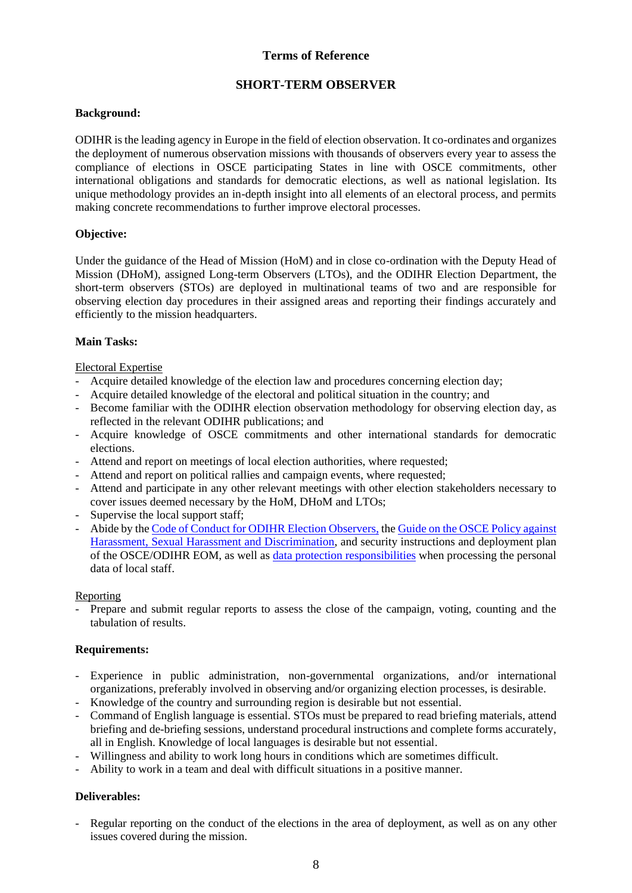### **Terms of Reference**

## **SHORT-TERM OBSERVER**

#### **Background:**

ODIHR is the leading agency in Europe in the field of election observation. It co-ordinates and organizes the deployment of numerous observation missions with thousands of observers every year to assess the compliance of elections in OSCE participating States in line with OSCE commitments, other international obligations and standards for democratic elections, as well as national legislation. Its unique methodology provides an in-depth insight into all elements of an electoral process, and permits making concrete recommendations to further improve electoral processes.

### **Objective:**

Under the guidance of the Head of Mission (HoM) and in close co-ordination with the Deputy Head of Mission (DHoM), assigned Long-term Observers (LTOs), and the ODIHR Election Department, the short-term observers (STOs) are deployed in multinational teams of two and are responsible for observing election day procedures in their assigned areas and reporting their findings accurately and efficiently to the mission headquarters.

### **Main Tasks:**

#### Electoral Expertise

- Acquire detailed knowledge of the election law and procedures concerning election day;
- Acquire detailed knowledge of the electoral and political situation in the country; and
- Become familiar with the ODIHR election observation methodology for observing election day, as reflected in the relevant ODIHR publications; and
- Acquire knowledge of OSCE commitments and other international standards for democratic elections.
- Attend and report on meetings of local election authorities, where requested;
- Attend and report on political rallies and campaign events, where requested;
- Attend and participate in any other relevant meetings with other election stakeholders necessary to cover issues deemed necessary by the HoM, DHoM and LTOs;
- Supervise the local support staff;
- Abide by the [Code of Conduct for ODIHR Election Observers,](http://www.osce.org/odihr/elections/322891?download=true) the [Guide on the OSCE Policy against](http://www.osce.org/gender/30604)  [Harassment, Sexual Harassment and Discrimination,](http://www.osce.org/gender/30604) and security instructions and deployment plan of the OSCE/ODIHR EOM, as well as [data protection responsibilities](http://www.osce.org/odihr/324441?download=true) when processing the personal data of local staff.

#### Reporting

Prepare and submit regular reports to assess the close of the campaign, voting, counting and the tabulation of results.

#### **Requirements:**

- Experience in public administration, non-governmental organizations, and/or international organizations, preferably involved in observing and/or organizing election processes, is desirable.
- Knowledge of the country and surrounding region is desirable but not essential.
- Command of English language is essential. STOs must be prepared to read briefing materials, attend briefing and de-briefing sessions, understand procedural instructions and complete forms accurately, all in English. Knowledge of local languages is desirable but not essential.
- Willingness and ability to work long hours in conditions which are sometimes difficult.
- Ability to work in a team and deal with difficult situations in a positive manner.

#### **Deliverables:**

Regular reporting on the conduct of the elections in the area of deployment, as well as on any other issues covered during the mission.